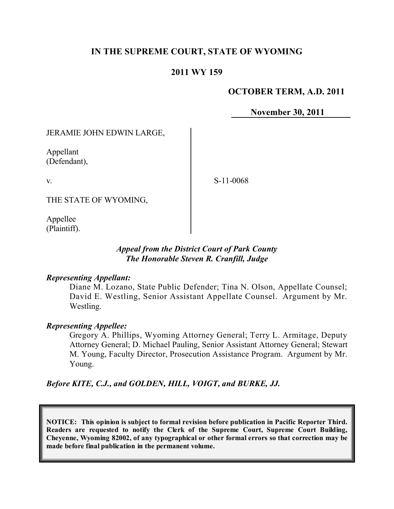## **IN THE SUPREME COURT, STATE OF WYOMING**

### **2011 WY 159**

### **OCTOBER TERM, A.D. 2011**

**November 30, 2011**

#### JERAMIE JOHN EDWIN LARGE,

Appellant (Defendant),

v.

S-11-0068

THE STATE OF WYOMING,

Appellee (Plaintiff).

### *Appeal from the District Court of Park County The Honorable Steven R. Cranfill, Judge*

#### *Representing Appellant:*

Diane M. Lozano, State Public Defender; Tina N. Olson, Appellate Counsel; David E. Westling, Senior Assistant Appellate Counsel. Argument by Mr. Westling.

#### *Representing Appellee:*

Gregory A. Phillips, Wyoming Attorney General; Terry L. Armitage, Deputy Attorney General; D. Michael Pauling, Senior Assistant Attorney General; Stewart M. Young, Faculty Director, Prosecution Assistance Program. Argument by Mr. Young.

*Before KITE, C.J., and GOLDEN, HILL, VOIGT, and BURKE, JJ.*

**NOTICE: This opinion is subject to formal revision before publication in Pacific Reporter Third. Readers are requested to notify the Clerk of the Supreme Court, Supreme Court Building, Cheyenne, Wyoming 82002, of any typographical or other formal errors so that correction may be made before final publication in the permanent volume.**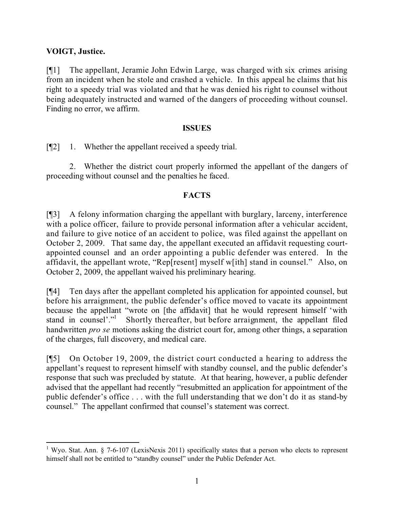### **VOIGT, Justice.**

l

[¶1] The appellant, Jeramie John Edwin Large, was charged with six crimes arising from an incident when he stole and crashed a vehicle. In this appeal he claims that his right to a speedy trial was violated and that he was denied his right to counsel without being adequately instructed and warned of the dangers of proceeding without counsel. Finding no error, we affirm.

### **ISSUES**

[¶2] 1. Whether the appellant received a speedy trial.

2. Whether the district court properly informed the appellant of the dangers of proceeding without counsel and the penalties he faced.

## **FACTS**

[¶3] A felony information charging the appellant with burglary, larceny, interference with a police officer, failure to provide personal information after a vehicular accident, and failure to give notice of an accident to police, was filed against the appellant on October 2, 2009. That same day, the appellant executed an affidavit requesting courtappointed counsel and an order appointing a public defender was entered. In the affidavit, the appellant wrote, "Rep[resent] myself w[ith] stand in counsel." Also, on October 2, 2009, the appellant waived his preliminary hearing.

[¶4] Ten days after the appellant completed his application for appointed counsel, but before his arraignment, the public defender's office moved to vacate its appointment because the appellant "wrote on [the affidavit] that he would represent himself 'with stand in counsel'."<sup>1</sup> Shortly thereafter, but before arraignment, the appellant filed handwritten *pro se* motions asking the district court for, among other things, a separation of the charges, full discovery, and medical care.

[¶5] On October 19, 2009, the district court conducted a hearing to address the appellant's request to represent himself with standby counsel, and the public defender's response that such was precluded by statute. At that hearing, however, a public defender advised that the appellant had recently "resubmitted an application for appointment of the public defender's office . . . with the full understanding that we don't do it as stand-by counsel." The appellant confirmed that counsel's statement was correct.

<sup>&</sup>lt;sup>1</sup> Wyo. Stat. Ann. § 7-6-107 (LexisNexis 2011) specifically states that a person who elects to represent himself shall not be entitled to "standby counsel" under the Public Defender Act.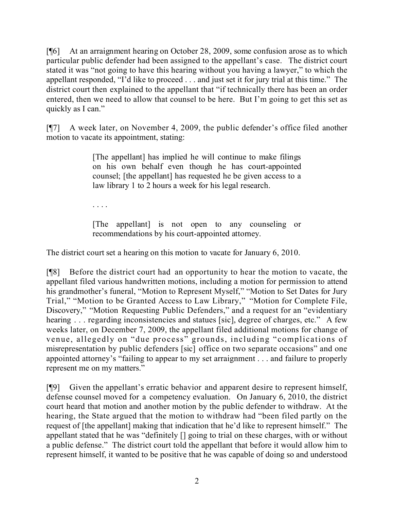[¶6] At an arraignment hearing on October 28, 2009, some confusion arose as to which particular public defender had been assigned to the appellant's case. The district court stated it was "not going to have this hearing without you having a lawyer," to which the appellant responded, "I'd like to proceed . . . and just set it for jury trial at this time." The district court then explained to the appellant that "if technically there has been an order entered, then we need to allow that counsel to be here. But I'm going to get this set as quickly as I can."

[¶7] A week later, on November 4, 2009, the public defender's office filed another motion to vacate its appointment, stating:

> [The appellant] has implied he will continue to make filings on his own behalf even though he has court-appointed counsel; [the appellant] has requested he be given access to a law library 1 to 2 hours a week for his legal research.

. . . .

[The appellant] is not open to any counseling or recommendations by his court-appointed attorney.

The district court set a hearing on this motion to vacate for January 6, 2010.

[¶8] Before the district court had an opportunity to hear the motion to vacate, the appellant filed various handwritten motions, including a motion for permission to attend his grandmother's funeral, "Motion to Represent Myself," "Motion to Set Dates for Jury Trial," "Motion to be Granted Access to Law Library," "Motion for Complete File, Discovery," "Motion Requesting Public Defenders," and a request for an "evidentiary hearing . . . regarding inconsistencies and statues [sic], degree of charges, etc." A few weeks later, on December 7, 2009, the appellant filed additional motions for change of venue, allegedly on "due process" grounds, including "complications of misrepresentation by public defenders [sic] office on two separate occasions" and one appointed attorney's "failing to appear to my set arraignment . . . and failure to properly represent me on my matters."

[¶9] Given the appellant's erratic behavior and apparent desire to represent himself, defense counsel moved for a competency evaluation. On January 6, 2010, the district court heard that motion and another motion by the public defender to withdraw. At the hearing, the State argued that the motion to withdraw had "been filed partly on the request of [the appellant] making that indication that he'd like to represent himself." The appellant stated that he was "definitely [] going to trial on these charges, with or without a public defense." The district court told the appellant that before it would allow him to represent himself, it wanted to be positive that he was capable of doing so and understood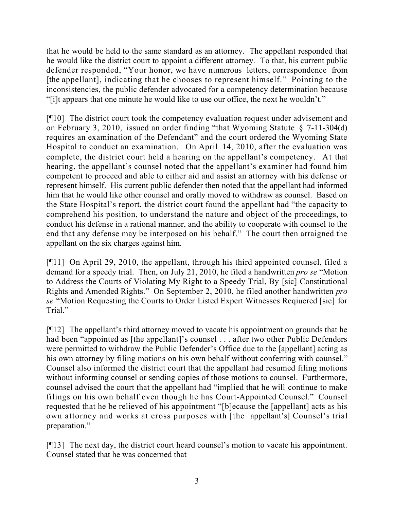that he would be held to the same standard as an attorney. The appellant responded that he would like the district court to appoint a different attorney. To that, his current public defender responded, "Your honor, we have numerous letters, correspondence from [the appellant], indicating that he chooses to represent himself." Pointing to the inconsistencies, the public defender advocated for a competency determination because "[i]t appears that one minute he would like to use our office, the next he wouldn't."

[¶10] The district court took the competency evaluation request under advisement and on February 3, 2010, issued an order finding "that Wyoming Statute § 7-11-304(d) requires an examination of the Defendant" and the court ordered the Wyoming State Hospital to conduct an examination. On April 14, 2010, after the evaluation was complete, the district court held a hearing on the appellant's competency. At that hearing, the appellant's counsel noted that the appellant's examiner had found him competent to proceed and able to either aid and assist an attorney with his defense or represent himself. His current public defender then noted that the appellant had informed him that he would like other counsel and orally moved to withdraw as counsel. Based on the State Hospital's report, the district court found the appellant had "the capacity to comprehend his position, to understand the nature and object of the proceedings, to conduct his defense in a rational manner, and the ability to cooperate with counsel to the end that any defense may be interposed on his behalf." The court then arraigned the appellant on the six charges against him.

[¶11] On April 29, 2010, the appellant, through his third appointed counsel, filed a demand for a speedy trial. Then, on July 21, 2010, he filed a handwritten *pro se* "Motion to Address the Courts of Violating My Right to a Speedy Trial, By [sic] Constitutional Rights and Amended Rights." On September 2, 2010, he filed another handwritten *pro se* "Motion Requesting the Courts to Order Listed Expert Witnesses Reqiuered [sic] for Trial."

[¶12] The appellant's third attorney moved to vacate his appointment on grounds that he had been "appointed as [the appellant]'s counsel . . . after two other Public Defenders were permitted to withdraw the Public Defender's Office due to the [appellant] acting as his own attorney by filing motions on his own behalf without conferring with counsel." Counsel also informed the district court that the appellant had resumed filing motions without informing counsel or sending copies of those motions to counsel. Furthermore, counsel advised the court that the appellant had "implied that he will continue to make filings on his own behalf even though he has Court-Appointed Counsel." Counsel requested that he be relieved of his appointment "[b]ecause the [appellant] acts as his own attorney and works at cross purposes with [the appellant's] Counsel's trial preparation."

[¶13] The next day, the district court heard counsel's motion to vacate his appointment. Counsel stated that he was concerned that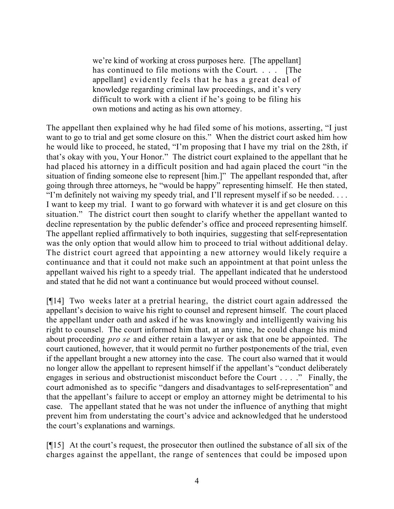we're kind of working at cross purposes here. [The appellant] has continued to file motions with the Court. . . . [The appellant] evidently feels that he has a great deal of knowledge regarding criminal law proceedings, and it's very difficult to work with a client if he's going to be filing his own motions and acting as his own attorney.

The appellant then explained why he had filed some of his motions, asserting, "I just want to go to trial and get some closure on this." When the district court asked him how he would like to proceed, he stated, "I'm proposing that I have my trial on the 28th, if that's okay with you, Your Honor." The district court explained to the appellant that he had placed his attorney in a difficult position and had again placed the court "in the situation of finding someone else to represent [him.]" The appellant responded that, after going through three attorneys, he "would be happy" representing himself. He then stated, "I'm definitely not waiving my speedy trial, and I'll represent myself if so be needed. . . . I want to keep my trial. I want to go forward with whatever it is and get closure on this situation." The district court then sought to clarify whether the appellant wanted to decline representation by the public defender's office and proceed representing himself. The appellant replied affirmatively to both inquiries, suggesting that self-representation was the only option that would allow him to proceed to trial without additional delay. The district court agreed that appointing a new attorney would likely require a continuance and that it could not make such an appointment at that point unless the appellant waived his right to a speedy trial. The appellant indicated that he understood and stated that he did not want a continuance but would proceed without counsel.

[¶14] Two weeks later at a pretrial hearing, the district court again addressed the appellant's decision to waive his right to counsel and represent himself. The court placed the appellant under oath and asked if he was knowingly and intelligently waiving his right to counsel. The court informed him that, at any time, he could change his mind about proceeding *pro se* and either retain a lawyer or ask that one be appointed. The court cautioned, however, that it would permit no further postponements of the trial, even if the appellant brought a new attorney into the case. The court also warned that it would no longer allow the appellant to represent himself if the appellant's "conduct deliberately engages in serious and obstructionist misconduct before the Court . . . ." Finally, the court admonished as to specific "dangers and disadvantages to self-representation" and that the appellant's failure to accept or employ an attorney might be detrimental to his case. The appellant stated that he was not under the influence of anything that might prevent him from understating the court's advice and acknowledged that he understood the court's explanations and warnings.

[¶15] At the court's request, the prosecutor then outlined the substance of all six of the charges against the appellant, the range of sentences that could be imposed upon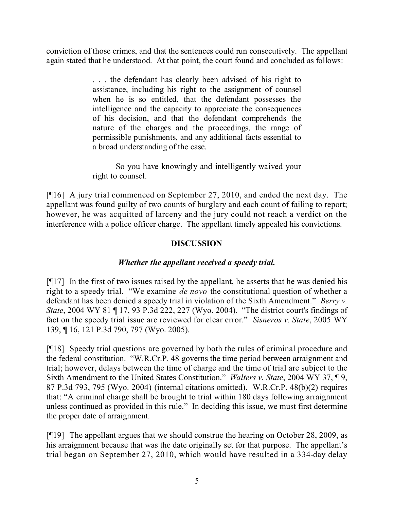conviction of those crimes, and that the sentences could run consecutively. The appellant again stated that he understood. At that point, the court found and concluded as follows:

> ... the defendant has clearly been advised of his right to assistance, including his right to the assignment of counsel when he is so entitled, that the defendant possesses the intelligence and the capacity to appreciate the consequences of his decision, and that the defendant comprehends the nature of the charges and the proceedings, the range of permissible punishments, and any additional facts essential to a broad understanding of the case.

> So you have knowingly and intelligently waived your right to counsel.

[¶16] A jury trial commenced on September 27, 2010, and ended the next day. The appellant was found guilty of two counts of burglary and each count of failing to report; however, he was acquitted of larceny and the jury could not reach a verdict on the interference with a police officer charge. The appellant timely appealed his convictions.

## **DISCUSSION**

# *Whether the appellant received a speedy trial.*

[¶17] In the first of two issues raised by the appellant, he asserts that he was denied his right to a speedy trial. "We examine *de novo* the constitutional question of whether a defendant has been denied a speedy trial in violation of the Sixth Amendment." *Berry v. State*, 2004 WY 81 ¶ 17, 93 P.3d 222, 227 (Wyo. 2004). "The district court's findings of fact on the speedy trial issue are reviewed for clear error." *Sisneros v. State*, 2005 WY 139, ¶ 16, 121 P.3d 790, 797 (Wyo. 2005).

[¶18] Speedy trial questions are governed by both the rules of criminal procedure and the federal constitution. "W.R.Cr.P. 48 governs the time period between arraignment and trial; however, delays between the time of charge and the time of trial are subject to the Sixth Amendment to the United States Constitution." *Walters v. State*, 2004 WY 37, ¶ 9, 87 P.3d 793, 795 (Wyo. 2004) (internal citations omitted). W.R.Cr.P. 48(b)(2) requires that: "A criminal charge shall be brought to trial within 180 days following arraignment unless continued as provided in this rule." In deciding this issue, we must first determine the proper date of arraignment.

[¶19] The appellant argues that we should construe the hearing on October 28, 2009, as his arraignment because that was the date originally set for that purpose. The appellant's trial began on September 27, 2010, which would have resulted in a 334-day delay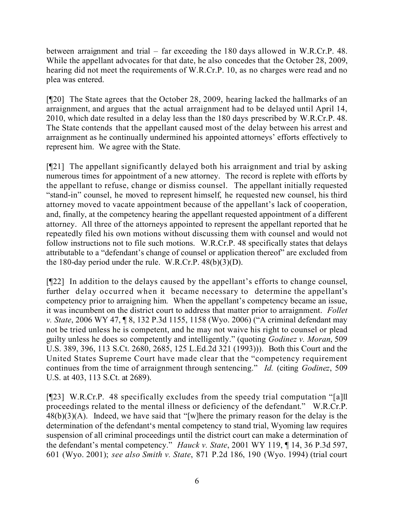between arraignment and trial – far exceeding the 180 days allowed in W.R.Cr.P. 48. While the appellant advocates for that date, he also concedes that the October 28, 2009, hearing did not meet the requirements of W.R.Cr.P. 10, as no charges were read and no plea was entered.

[¶20] The State agrees that the October 28, 2009, hearing lacked the hallmarks of an arraignment, and argues that the actual arraignment had to be delayed until April 14, 2010, which date resulted in a delay less than the 180 days prescribed by W.R.Cr.P. 48. The State contends that the appellant caused most of the delay between his arrest and arraignment as he continually undermined his appointed attorneys' efforts effectively to represent him. We agree with the State.

[¶21] The appellant significantly delayed both his arraignment and trial by asking numerous times for appointment of a new attorney. The record is replete with efforts by the appellant to refuse, change or dismiss counsel. The appellant initially requested "stand-in" counsel, he moved to represent himself, he requested new counsel, his third attorney moved to vacate appointment because of the appellant's lack of cooperation, and, finally, at the competency hearing the appellant requested appointment of a different attorney. All three of the attorneys appointed to represent the appellant reported that he repeatedly filed his own motions without discussing them with counsel and would not follow instructions not to file such motions. W.R.Cr.P. 48 specifically states that delays attributable to a "defendant's change of counsel or application thereof" are excluded from the 180-day period under the rule. W.R.Cr.P. 48(b)(3)(D).

[¶22] In addition to the delays caused by the appellant's efforts to change counsel, further delay occurred when it became necessary to determine the appellant's competency prior to arraigning him. When the appellant's competency became an issue, it was incumbent on the district court to address that matter prior to arraignment. *Follet v. State*, 2006 WY 47, ¶ 8, 132 P.3d 1155, 1158 (Wyo. 2006) ("A criminal defendant may not be tried unless he is competent, and he may not waive his right to counsel or plead guilty unless he does so competently and intelligently." (quoting *Godinez v. Moran*, 509 U.S. 389, 396, 113 S.Ct. 2680, 2685, 125 L.Ed.2d 321 (1993))). Both this Court and the United States Supreme Court have made clear that the "competency requirement continues from the time of arraignment through sentencing." *Id.* (citing *Godinez*, 509 U.S. at 403, 113 S.Ct. at 2689).

[¶23] W.R.Cr.P. 48 specifically excludes from the speedy trial computation "[a]ll proceedings related to the mental illness or deficiency of the defendant." W.R.Cr.P.  $48(b)(3)(A)$ . Indeed, we have said that "[w]here the primary reason for the delay is the determination of the defendant's mental competency to stand trial, Wyoming law requires suspension of all criminal proceedings until the district court can make a determination of the defendant's mental competency." *Hauck v. State*, 2001 WY 119, ¶ 14, 36 P.3d 597, 601 (Wyo. 2001); *see also Smith v. State*, 871 P.2d 186, 190 (Wyo. 1994) (trial court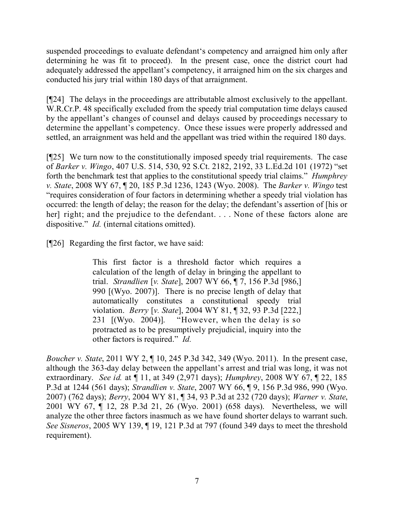suspended proceedings to evaluate defendant's competency and arraigned him only after determining he was fit to proceed). In the present case, once the district court had adequately addressed the appellant's competency, it arraigned him on the six charges and conducted his jury trial within 180 days of that arraignment.

[¶24] The delays in the proceedings are attributable almost exclusively to the appellant. W.R.Cr.P. 48 specifically excluded from the speedy trial computation time delays caused by the appellant's changes of counsel and delays caused by proceedings necessary to determine the appellant's competency. Once these issues were properly addressed and settled, an arraignment was held and the appellant was tried within the required 180 days.

[¶25] We turn now to the constitutionally imposed speedy trial requirements. The case of *Barker v. Wingo*, 407 U.S. 514, 530, 92 S.Ct. 2182, 2192, 33 L.Ed.2d 101 (1972) "set forth the benchmark test that applies to the constitutional speedy trial claims." *Humphrey v. State*, 2008 WY 67, ¶ 20, 185 P.3d 1236, 1243 (Wyo. 2008). The *Barker v. Wingo* test "requires consideration of four factors in determining whether a speedy trial violation has occurred: the length of delay; the reason for the delay; the defendant's assertion of [his or her] right; and the prejudice to the defendant. . . . None of these factors alone are dispositive." *Id.* (internal citations omitted).

[¶26] Regarding the first factor, we have said:

This first factor is a threshold factor which requires a calculation of the length of delay in bringing the appellant to trial. *Strandlien* [*v. State*], 2007 WY 66, ¶ 7, 156 P.3d [986,] 990 [(Wyo. 2007)]. There is no precise length of delay that automatically constitutes a constitutional speedy trial violation. *Berry* [*v. State*], 2004 WY 81, ¶ 32, 93 P.3d [222,] 231 [(Wyo. 2004)]. "However, when the delay is so protracted as to be presumptively prejudicial, inquiry into the other factors is required." *Id.*

*Boucher v. State*, 2011 WY 2, ¶ 10, 245 P.3d 342, 349 (Wyo. 2011). In the present case, although the 363-day delay between the appellant's arrest and trial was long, it was not extraordinary. *See id.* at ¶ 11, at 349 (2,971 days); *Humphrey*, 2008 WY 67, ¶ 22, 185 P.3d at 1244 (561 days); *Strandlien v. State*, 2007 WY 66, ¶ 9, 156 P.3d 986, 990 (Wyo. 2007) (762 days); *Berry*, 2004 WY 81, ¶ 34, 93 P.3d at 232 (720 days); *Warner v. State*, 2001 WY 67, ¶ 12, 28 P.3d 21, 26 (Wyo. 2001) (658 days). Nevertheless, we will analyze the other three factors inasmuch as we have found shorter delays to warrant such. *See Sisneros*, 2005 WY 139, ¶ 19, 121 P.3d at 797 (found 349 days to meet the threshold requirement).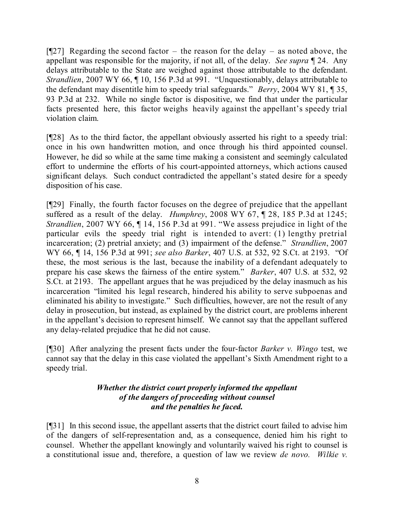$[927]$  Regarding the second factor – the reason for the delay – as noted above, the appellant was responsible for the majority, if not all, of the delay. *See supra* ¶ 24. Any delays attributable to the State are weighed against those attributable to the defendant. *Strandlien*, 2007 WY 66, 10, 156 P.3d at 991. "Unquestionably, delays attributable to the defendant may disentitle him to speedy trial safeguards." *Berry*, 2004 WY 81, ¶ 35, 93 P.3d at 232. While no single factor is dispositive, we find that under the particular facts presented here, this factor weighs heavily against the appellant's speedy trial violation claim.

[¶28] As to the third factor, the appellant obviously asserted his right to a speedy trial: once in his own handwritten motion, and once through his third appointed counsel. However, he did so while at the same time making a consistent and seemingly calculated effort to undermine the efforts of his court-appointed attorneys, which actions caused significant delays. Such conduct contradicted the appellant's stated desire for a speedy disposition of his case.

[¶29] Finally, the fourth factor focuses on the degree of prejudice that the appellant suffered as a result of the delay. *Humphrey*, 2008 WY 67, ¶ 28, 185 P.3d at 1245; *Strandlien*, 2007 WY 66, ¶ 14, 156 P.3d at 991. "We assess prejudice in light of the particular evils the speedy trial right is intended to avert: (1) lengthy pretrial incarceration; (2) pretrial anxiety; and (3) impairment of the defense." *Strandlien*, 2007 WY 66, ¶ 14, 156 P.3d at 991; *see also Barker*, 407 U.S. at 532, 92 S.Ct. at 2193. "Of these, the most serious is the last, because the inability of a defendant adequately to prepare his case skews the fairness of the entire system." *Barker*, 407 U.S. at 532, 92 S.Ct. at 2193. The appellant argues that he was prejudiced by the delay inasmuch as his incarceration "limited his legal research, hindered his ability to serve subpoenas and eliminated his ability to investigate." Such difficulties, however, are not the result of any delay in prosecution, but instead, as explained by the district court, are problems inherent in the appellant's decision to represent himself. We cannot say that the appellant suffered any delay-related prejudice that he did not cause.

[¶30] After analyzing the present facts under the four-factor *Barker v. Wingo* test, we cannot say that the delay in this case violated the appellant's Sixth Amendment right to a speedy trial.

## *Whether the district court properly informed the appellant of the dangers of proceeding without counsel and the penalties he faced.*

[¶31] In this second issue, the appellant asserts that the district court failed to advise him of the dangers of self-representation and, as a consequence, denied him his right to counsel. Whether the appellant knowingly and voluntarily waived his right to counsel is a constitutional issue and, therefore, a question of law we review *de novo. Wilkie v.*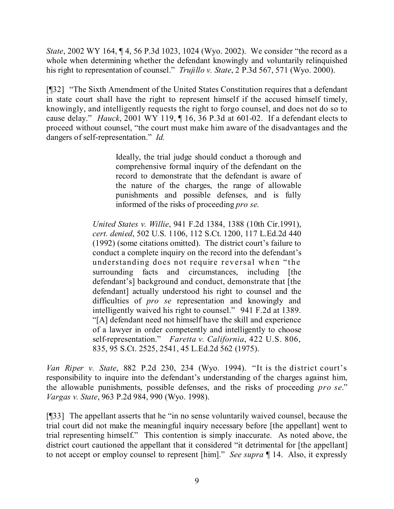*State*, 2002 WY 164, ¶ 4, 56 P.3d 1023, 1024 (Wyo. 2002). We consider "the record as a whole when determining whether the defendant knowingly and voluntarily relinquished his right to representation of counsel." *Trujillo v. State*, 2 P.3d 567, 571 (Wyo. 2000).

[¶32] "The Sixth Amendment of the United States Constitution requires that a defendant in state court shall have the right to represent himself if the accused himself timely, knowingly, and intelligently requests the right to forgo counsel, and does not do so to cause delay." *Hauck*, 2001 WY 119, ¶ 16, 36 P.3d at 601-02. If a defendant elects to proceed without counsel, "the court must make him aware of the disadvantages and the dangers of self-representation." *Id.*

> Ideally, the trial judge should conduct a thorough and comprehensive formal inquiry of the defendant on the record to demonstrate that the defendant is aware of the nature of the charges, the range of allowable punishments and possible defenses, and is fully informed of the risks of proceeding *pro se*.

*United States v. Willie*, 941 F.2d 1384, 1388 (10th Cir.1991), *cert. denied*, 502 U.S. 1106, 112 S.Ct. 1200, 117 L.Ed.2d 440 (1992) (some citations omitted). The district court's failure to conduct a complete inquiry on the record into the defendant's understanding does not require reversal when "the surrounding facts and circumstances, including [the defendant's] background and conduct, demonstrate that [the defendant] actually understood his right to counsel and the difficulties of *pro se* representation and knowingly and intelligently waived his right to counsel." 941 F.2d at 1389. "[A] defendant need not himself have the skill and experience of a lawyer in order competently and intelligently to choose self-representation." *Faretta v. California*, 422 U.S. 806, 835, 95 S.Ct. 2525, 2541, 45 L.Ed.2d 562 (1975).

*Van Riper v. State*, 882 P.2d 230, 234 (Wyo. 1994). "It is the district court's responsibility to inquire into the defendant's understanding of the charges against him, the allowable punishments, possible defenses, and the risks of proceeding *pro se*." *Vargas v. State*, 963 P.2d 984, 990 (Wyo. 1998).

[¶33] The appellant asserts that he "in no sense voluntarily waived counsel, because the trial court did not make the meaningful inquiry necessary before [the appellant] went to trial representing himself." This contention is simply inaccurate. As noted above, the district court cautioned the appellant that it considered "it detrimental for [the appellant] to not accept or employ counsel to represent [him]." *See supra* ¶ 14. Also, it expressly